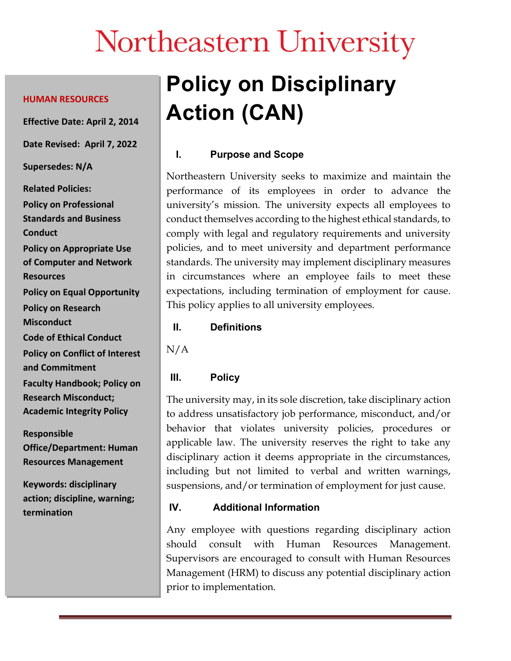# Northeastern University

#### **HUMAN RESOURCES**

**Effective Date: April 2, 2014**

**Date Revised: April 7, 2022**

**Supersedes: N/A**

**Related Policies: Policy on Professional Standards and Business Conduct Policy on Appropriate Use of Computer and Network Resources Policy on Equal Opportunity Policy on Research Misconduct Code of Ethical Conduct Policy on Conflict of Interest and Commitment Faculty Handbook; Policy on Research Misconduct; Academic Integrity Policy**

**Responsible Office/Department: Human Resources Management**

**Keywords: disciplinary action; discipline, warning; termination**

## **Policy on Disciplinary Action (CAN)**

### **I. Purpose and Scope**

Northeastern University seeks to maximize and maintain the performance of its employees in order to advance the university's mission. The university expects all employees to conduct themselves according to the highest ethical standards, to comply with legal and regulatory requirements and university policies, and to meet university and department performance standards. The university may implement disciplinary measures in circumstances where an employee fails to meet these expectations, including termination of employment for cause. This policy applies to all university employees.

#### **II. Definitions**

N/A

#### **III. Policy**

The university may, in its sole discretion, take disciplinary action to address unsatisfactory job performance, misconduct, and/or behavior that violates university policies, procedures or applicable law. The university reserves the right to take any disciplinary action it deems appropriate in the circumstances, including but not limited to verbal and written warnings, suspensions, and/or termination of employment for just cause.

#### **IV. Additional Information**

Any employee with questions regarding disciplinary action should consult with Human Resources Management. Supervisors are encouraged to consult with Human Resources Management (HRM) to discuss any potential disciplinary action prior to implementation.